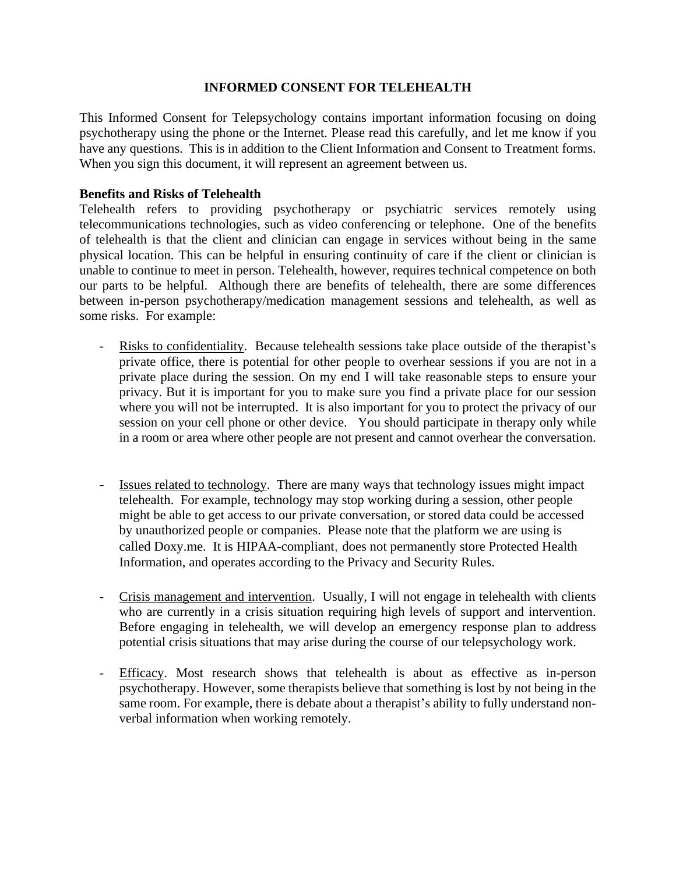## **INFORMED CONSENT FOR TELEHEALTH**

This Informed Consent for Telepsychology contains important information focusing on doing psychotherapy using the phone or the Internet. Please read this carefully, and let me know if you have any questions. This is in addition to the Client Information and Consent to Treatment forms. When you sign this document, it will represent an agreement between us.

# **Benefits and Risks of Telehealth**

Telehealth refers to providing psychotherapy or psychiatric services remotely using telecommunications technologies, such as video conferencing or telephone. One of the benefits of telehealth is that the client and clinician can engage in services without being in the same physical location. This can be helpful in ensuring continuity of care if the client or clinician is unable to continue to meet in person. Telehealth, however, requires technical competence on both our parts to be helpful. Although there are benefits of telehealth, there are some differences between in-person psychotherapy/medication management sessions and telehealth, as well as some risks. For example:

- Risks to confidentiality. Because telehealth sessions take place outside of the therapist's private office, there is potential for other people to overhear sessions if you are not in a private place during the session. On my end I will take reasonable steps to ensure your privacy. But it is important for you to make sure you find a private place for our session where you will not be interrupted. It is also important for you to protect the privacy of our session on your cell phone or other device. You should participate in therapy only while in a room or area where other people are not present and cannot overhear the conversation.
- Issues related to technology. There are many ways that technology issues might impact telehealth. For example, technology may stop working during a session, other people might be able to get access to our private conversation, or stored data could be accessed by unauthorized people or companies. Please note that the platform we are using is called Doxy.me. It is HIPAA-compliant, does not permanently store Protected Health Information, and operates according to the Privacy and Security Rules.
- Crisis management and intervention. Usually, I will not engage in telehealth with clients who are currently in a crisis situation requiring high levels of support and intervention. Before engaging in telehealth, we will develop an emergency response plan to address potential crisis situations that may arise during the course of our telepsychology work.
- Efficacy. Most research shows that telehealth is about as effective as in-person psychotherapy. However, some therapists believe that something is lost by not being in the same room. For example, there is debate about a therapist's ability to fully understand nonverbal information when working remotely.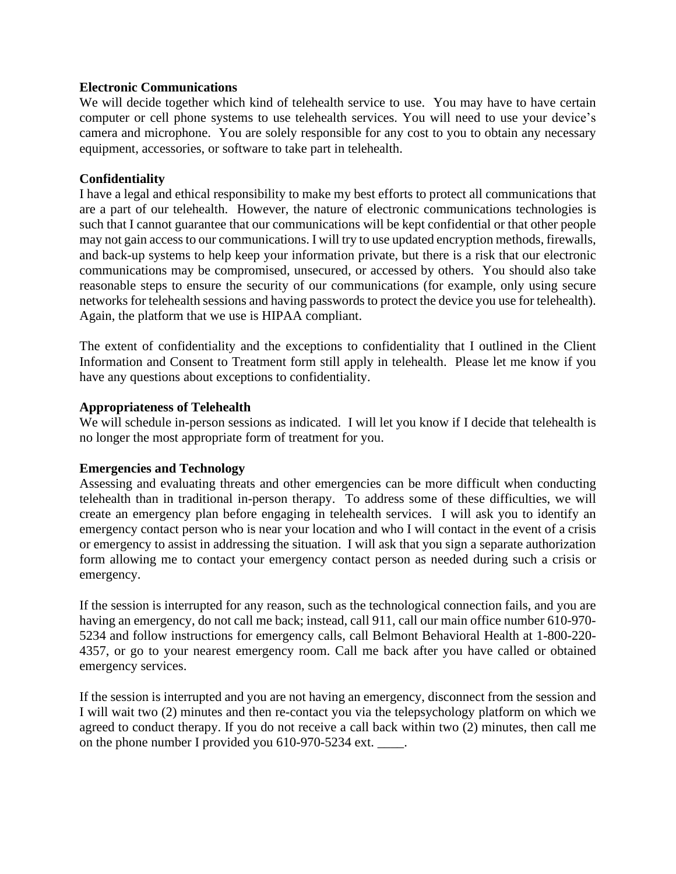### **Electronic Communications**

We will decide together which kind of telehealth service to use. You may have to have certain computer or cell phone systems to use telehealth services. You will need to use your device's camera and microphone. You are solely responsible for any cost to you to obtain any necessary equipment, accessories, or software to take part in telehealth.

### **Confidentiality**

I have a legal and ethical responsibility to make my best efforts to protect all communications that are a part of our telehealth. However, the nature of electronic communications technologies is such that I cannot guarantee that our communications will be kept confidential or that other people may not gain accessto our communications. I will try to use updated encryption methods, firewalls, and back-up systems to help keep your information private, but there is a risk that our electronic communications may be compromised, unsecured, or accessed by others. You should also take reasonable steps to ensure the security of our communications (for example, only using secure networks for telehealth sessions and having passwords to protect the device you use for telehealth). Again, the platform that we use is HIPAA compliant.

The extent of confidentiality and the exceptions to confidentiality that I outlined in the Client Information and Consent to Treatment form still apply in telehealth. Please let me know if you have any questions about exceptions to confidentiality.

#### **Appropriateness of Telehealth**

We will schedule in-person sessions as indicated. I will let you know if I decide that telehealth is no longer the most appropriate form of treatment for you.

#### **Emergencies and Technology**

Assessing and evaluating threats and other emergencies can be more difficult when conducting telehealth than in traditional in-person therapy. To address some of these difficulties, we will create an emergency plan before engaging in telehealth services. I will ask you to identify an emergency contact person who is near your location and who I will contact in the event of a crisis or emergency to assist in addressing the situation. I will ask that you sign a separate authorization form allowing me to contact your emergency contact person as needed during such a crisis or emergency.

If the session is interrupted for any reason, such as the technological connection fails, and you are having an emergency, do not call me back; instead, call 911, call our main office number 610-970- 5234 and follow instructions for emergency calls, call Belmont Behavioral Health at 1-800-220- 4357, or go to your nearest emergency room. Call me back after you have called or obtained emergency services.

If the session is interrupted and you are not having an emergency, disconnect from the session and I will wait two (2) minutes and then re-contact you via the telepsychology platform on which we agreed to conduct therapy. If you do not receive a call back within two (2) minutes, then call me on the phone number I provided you 610-970-5234 ext. \_\_\_\_.